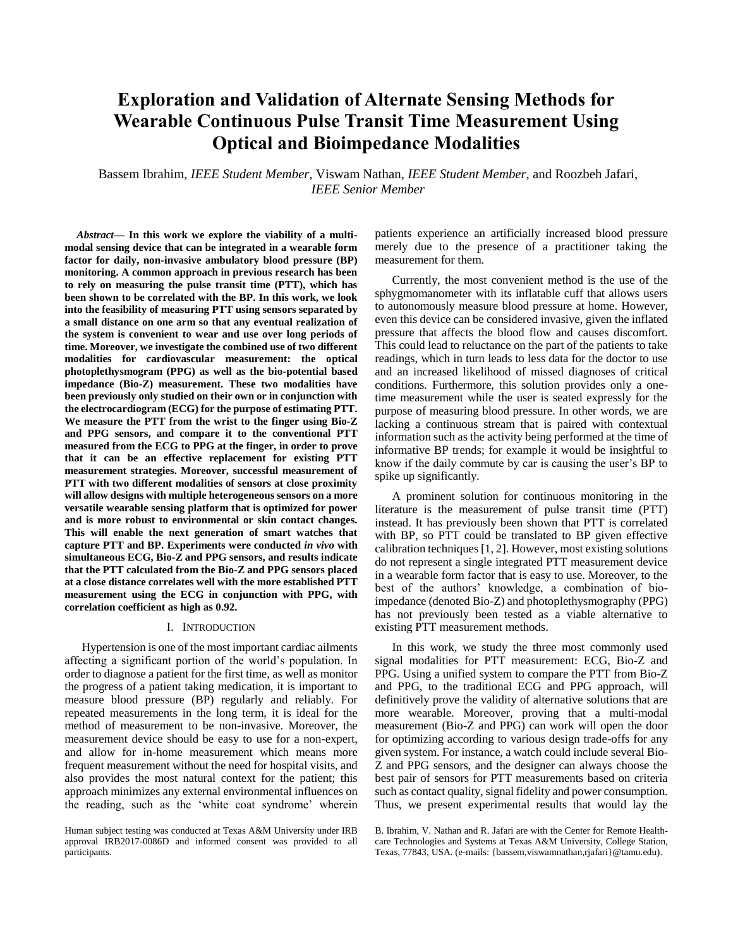# **Exploration and Validation of Alternate Sensing Methods for Wearable Continuous Pulse Transit Time Measurement Using Optical and Bioimpedance Modalities**

Bassem Ibrahim, *IEEE Student Member,* Viswam Nathan, *IEEE Student Member,* and Roozbeh Jafari, *IEEE Senior Member*

*Abstract***— In this work we explore the viability of a multimodal sensing device that can be integrated in a wearable form factor for daily, non-invasive ambulatory blood pressure (BP) monitoring. A common approach in previous research has been to rely on measuring the pulse transit time (PTT), which has been shown to be correlated with the BP. In this work, we look into the feasibility of measuring PTT using sensors separated by a small distance on one arm so that any eventual realization of the system is convenient to wear and use over long periods of time. Moreover, we investigate the combined use of two different modalities for cardiovascular measurement: the optical photoplethysmogram (PPG) as well as the bio-potential based impedance (Bio-Z) measurement. These two modalities have been previously only studied on their own or in conjunction with the electrocardiogram (ECG) for the purpose of estimating PTT. We measure the PTT from the wrist to the finger using Bio-Z and PPG sensors, and compare it to the conventional PTT measured from the ECG to PPG at the finger, in order to prove that it can be an effective replacement for existing PTT measurement strategies. Moreover, successful measurement of PTT with two different modalities of sensors at close proximity will allow designs with multiple heterogeneous sensors on a more versatile wearable sensing platform that is optimized for power and is more robust to environmental or skin contact changes. This will enable the next generation of smart watches that capture PTT and BP. Experiments were conducted** *in vivo* **with simultaneous ECG, Bio-Z and PPG sensors, and results indicate that the PTT calculated from the Bio-Z and PPG sensors placed at a close distance correlates well with the more established PTT measurement using the ECG in conjunction with PPG, with correlation coefficient as high as 0.92.**

# I. INTRODUCTION

Hypertension is one of the most important cardiac ailments affecting a significant portion of the world's population. In order to diagnose a patient for the first time, as well as monitor the progress of a patient taking medication, it is important to measure blood pressure (BP) regularly and reliably. For repeated measurements in the long term, it is ideal for the method of measurement to be non-invasive. Moreover, the measurement device should be easy to use for a non-expert, and allow for in-home measurement which means more frequent measurement without the need for hospital visits, and also provides the most natural context for the patient; this approach minimizes any external environmental influences on the reading, such as the 'white coat syndrome' wherein patients experience an artificially increased blood pressure merely due to the presence of a practitioner taking the measurement for them.

Currently, the most convenient method is the use of the sphygmomanometer with its inflatable cuff that allows users to autonomously measure blood pressure at home. However, even this device can be considered invasive, given the inflated pressure that affects the blood flow and causes discomfort. This could lead to reluctance on the part of the patients to take readings, which in turn leads to less data for the doctor to use and an increased likelihood of missed diagnoses of critical conditions. Furthermore, this solution provides only a onetime measurement while the user is seated expressly for the purpose of measuring blood pressure. In other words, we are lacking a continuous stream that is paired with contextual information such as the activity being performed at the time of informative BP trends; for example it would be insightful to know if the daily commute by car is causing the user's BP to spike up significantly.

A prominent solution for continuous monitoring in the literature is the measurement of pulse transit time (PTT) instead. It has previously been shown that PTT is correlated with BP, so PTT could be translated to BP given effective calibration techniques [1, 2]. However, most existing solutions do not represent a single integrated PTT measurement device in a wearable form factor that is easy to use. Moreover, to the best of the authors' knowledge, a combination of bioimpedance (denoted Bio-Z) and photoplethysmography (PPG) has not previously been tested as a viable alternative to existing PTT measurement methods.

In this work, we study the three most commonly used signal modalities for PTT measurement: ECG, Bio-Z and PPG. Using a unified system to compare the PTT from Bio-Z and PPG, to the traditional ECG and PPG approach, will definitively prove the validity of alternative solutions that are more wearable. Moreover, proving that a multi-modal measurement (Bio-Z and PPG) can work will open the door for optimizing according to various design trade-offs for any given system. For instance, a watch could include several Bio-Z and PPG sensors, and the designer can always choose the best pair of sensors for PTT measurements based on criteria such as contact quality, signal fidelity and power consumption. Thus, we present experimental results that would lay the

Human subject testing was conducted at Texas A&M University under IRB approval IRB2017-0086D and informed consent was provided to all participants.

B. Ibrahim, V. Nathan and R. Jafari are with the Center for Remote Healthcare Technologies and Systems at Texas A&M University, College Station, Texas, 77843, USA. (e-mails: {bassem,viswamnathan,rjafari}@tamu.edu).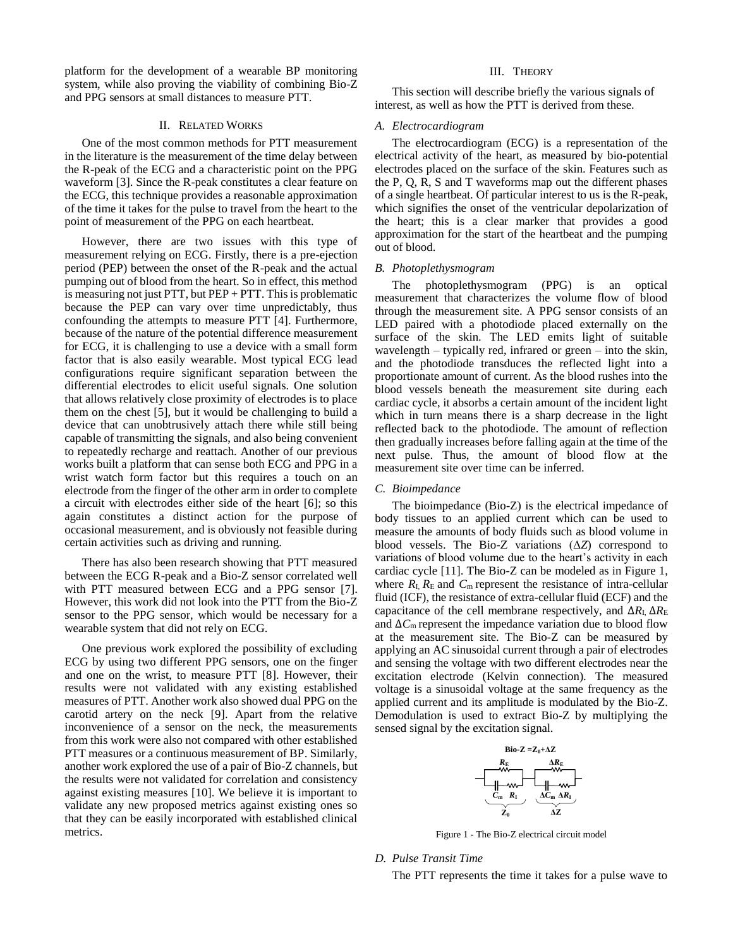platform for the development of a wearable BP monitoring system, while also proving the viability of combining Bio-Z and PPG sensors at small distances to measure PTT.

# II. RELATED WORKS

One of the most common methods for PTT measurement in the literature is the measurement of the time delay between the R-peak of the ECG and a characteristic point on the PPG waveform [3]. Since the R-peak constitutes a clear feature on the ECG, this technique provides a reasonable approximation of the time it takes for the pulse to travel from the heart to the point of measurement of the PPG on each heartbeat.

However, there are two issues with this type of measurement relying on ECG. Firstly, there is a pre-ejection period (PEP) between the onset of the R-peak and the actual pumping out of blood from the heart. So in effect, this method is measuring not just PTT, but PEP + PTT. This is problematic because the PEP can vary over time unpredictably, thus confounding the attempts to measure PTT [4]. Furthermore, because of the nature of the potential difference measurement for ECG, it is challenging to use a device with a small form factor that is also easily wearable. Most typical ECG lead configurations require significant separation between the differential electrodes to elicit useful signals. One solution that allows relatively close proximity of electrodes is to place them on the chest [5], but it would be challenging to build a device that can unobtrusively attach there while still being capable of transmitting the signals, and also being convenient to repeatedly recharge and reattach. Another of our previous works built a platform that can sense both ECG and PPG in a wrist watch form factor but this requires a touch on an electrode from the finger of the other arm in order to complete a circuit with electrodes either side of the heart [6]; so this again constitutes a distinct action for the purpose of occasional measurement, and is obviously not feasible during certain activities such as driving and running.

There has also been research showing that PTT measured between the ECG R-peak and a Bio-Z sensor correlated well with PTT measured between ECG and a PPG sensor [7]. However, this work did not look into the PTT from the Bio-Z sensor to the PPG sensor, which would be necessary for a wearable system that did not rely on ECG.

One previous work explored the possibility of excluding ECG by using two different PPG sensors, one on the finger and one on the wrist, to measure PTT [8]. However, their results were not validated with any existing established measures of PTT. Another work also showed dual PPG on the carotid artery on the neck [9]. Apart from the relative inconvenience of a sensor on the neck, the measurements from this work were also not compared with other established PTT measures or a continuous measurement of BP. Similarly, another work explored the use of a pair of Bio-Z channels, but the results were not validated for correlation and consistency against existing measures [10]. We believe it is important to validate any new proposed metrics against existing ones so that they can be easily incorporated with established clinical metrics.

## III. THEORY

This section will describe briefly the various signals of interest, as well as how the PTT is derived from these.

## *A. Electrocardiogram*

The electrocardiogram (ECG) is a representation of the electrical activity of the heart, as measured by bio-potential electrodes placed on the surface of the skin. Features such as the P, Q, R, S and T waveforms map out the different phases of a single heartbeat. Of particular interest to us is the R-peak, which signifies the onset of the ventricular depolarization of the heart; this is a clear marker that provides a good approximation for the start of the heartbeat and the pumping out of blood.

## *B. Photoplethysmogram*

The photoplethysmogram (PPG) is an optical measurement that characterizes the volume flow of blood through the measurement site. A PPG sensor consists of an LED paired with a photodiode placed externally on the surface of the skin. The LED emits light of suitable wavelength – typically red, infrared or green – into the skin, and the photodiode transduces the reflected light into a proportionate amount of current. As the blood rushes into the blood vessels beneath the measurement site during each cardiac cycle, it absorbs a certain amount of the incident light which in turn means there is a sharp decrease in the light reflected back to the photodiode. The amount of reflection then gradually increases before falling again at the time of the next pulse. Thus, the amount of blood flow at the measurement site over time can be inferred.

## *C. Bioimpedance*

The bioimpedance (Bio-Z) is the electrical impedance of body tissues to an applied current which can be used to measure the amounts of body fluids such as blood volume in blood vessels. The Bio-Z variations (Δ*Z*) correspond to variations of blood volume due to the heart's activity in each cardiac cycle [11]. The Bio-Z can be modeled as in Figure 1, where  $R_L R_E$  and  $C_m$  represent the resistance of intra-cellular fluid (ICF), the resistance of extra-cellular fluid (ECF) and the capacitance of the cell membrane respectively, and Δ*R*<sub>I</sub>, Δ*R*<sub>E</sub> and ∆*C*m represent the impedance variation due to blood flow at the measurement site. The Bio-Z can be measured by applying an AC sinusoidal current through a pair of electrodes and sensing the voltage with two different electrodes near the excitation electrode (Kelvin connection). The measured voltage is a sinusoidal voltage at the same frequency as the applied current and its amplitude is modulated by the Bio-Z. Demodulation is used to extract Bio-Z by multiplying the sensed signal by the excitation signal.



Figure 1 - The Bio-Z electrical circuit model

## *D. Pulse Transit Time*

The PTT represents the time it takes for a pulse wave to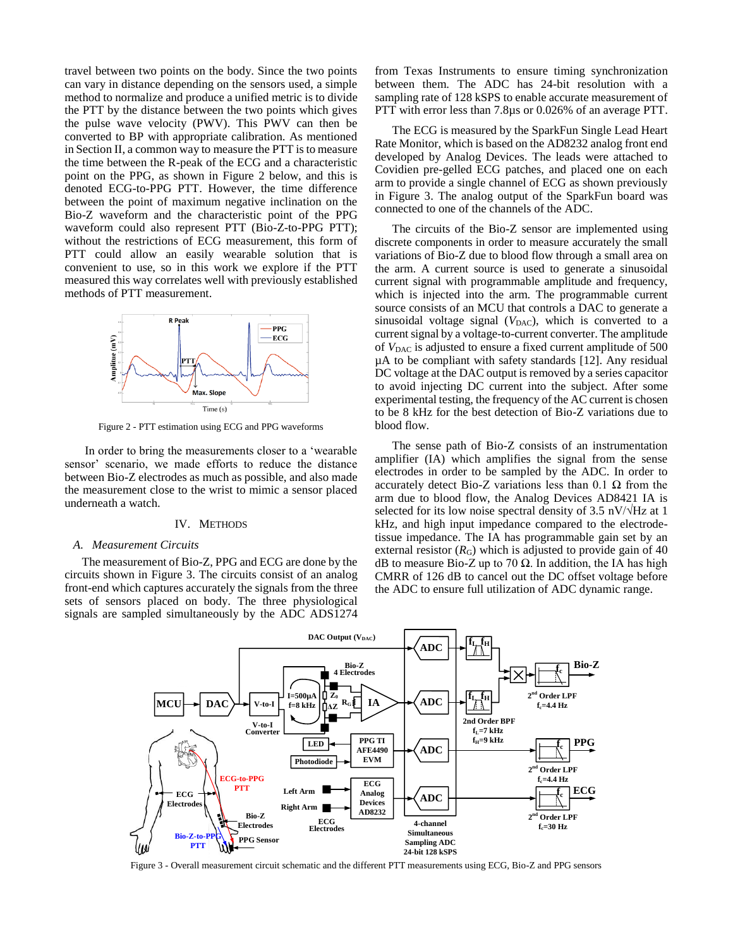travel between two points on the body. Since the two points can vary in distance depending on the sensors used, a simple method to normalize and produce a unified metric is to divide the PTT by the distance between the two points which gives the pulse wave velocity (PWV). This PWV can then be converted to BP with appropriate calibration. As mentioned in Section II, a common way to measure the PTT is to measure the time between the R-peak of the ECG and a characteristic point on the PPG, as shown in Figure 2 below, and this is denoted ECG-to-PPG PTT. However, the time difference between the point of maximum negative inclination on the Bio-Z waveform and the characteristic point of the PPG waveform could also represent PTT (Bio-Z-to-PPG PTT); without the restrictions of ECG measurement, this form of PTT could allow an easily wearable solution that is convenient to use, so in this work we explore if the PTT measured this way correlates well with previously established methods of PTT measurement.



Figure 2 - PTT estimation using ECG and PPG waveforms

In order to bring the measurements closer to a 'wearable sensor' scenario, we made efforts to reduce the distance between Bio-Z electrodes as much as possible, and also made the measurement close to the wrist to mimic a sensor placed underneath a watch.

#### IV. METHODS

## *A. Measurement Circuits*

The measurement of Bio-Z, PPG and ECG are done by the circuits shown in Figure 3. The circuits consist of an analog front-end which captures accurately the signals from the three sets of sensors placed on body. The three physiological signals are sampled simultaneously by the ADC ADS1274 from Texas Instruments to ensure timing synchronization between them. The ADC has 24-bit resolution with a sampling rate of 128 kSPS to enable accurate measurement of PTT with error less than 7.8µs or 0.026% of an average PTT.

The ECG is measured by the SparkFun Single Lead Heart Rate Monitor, which is based on the AD8232 analog front end developed by Analog Devices. The leads were attached to Covidien pre-gelled ECG patches, and placed one on each arm to provide a single channel of ECG as shown previously in Figure 3. The analog output of the SparkFun board was connected to one of the channels of the ADC.

The circuits of the Bio-Z sensor are implemented using discrete components in order to measure accurately the small variations of Bio-Z due to blood flow through a small area on the arm. A current source is used to generate a sinusoidal current signal with programmable amplitude and frequency, which is injected into the arm. The programmable current source consists of an MCU that controls a DAC to generate a sinusoidal voltage signal (*V*<sub>DAC</sub>), which is converted to a current signal by a voltage-to-current converter. The amplitude of *V*<sub>DAC</sub> is adjusted to ensure a fixed current amplitude of 500 µA to be compliant with safety standards [12]. Any residual DC voltage at the DAC output is removed by a series capacitor to avoid injecting DC current into the subject. After some experimental testing, the frequency of the AC current is chosen to be 8 kHz for the best detection of Bio-Z variations due to blood flow.

The sense path of Bio-Z consists of an instrumentation amplifier (IA) which amplifies the signal from the sense electrodes in order to be sampled by the ADC. In order to accurately detect Bio-Z variations less than 0.1  $\Omega$  from the arm due to blood flow, the Analog Devices AD8421 IA is selected for its low noise spectral density of 3.5 nV/√Hz at 1 kHz, and high input impedance compared to the electrodetissue impedance. The IA has programmable gain set by an external resistor  $(R_G)$  which is adjusted to provide gain of 40 dB to measure Bio-Z up to 70  $Ω$ . In addition, the IA has high CMRR of 126 dB to cancel out the DC offset voltage before the ADC to ensure full utilization of ADC dynamic range.



Figure 3 - Overall measurement circuit schematic and the different PTT measurements using ECG, Bio-Z and PPG sensors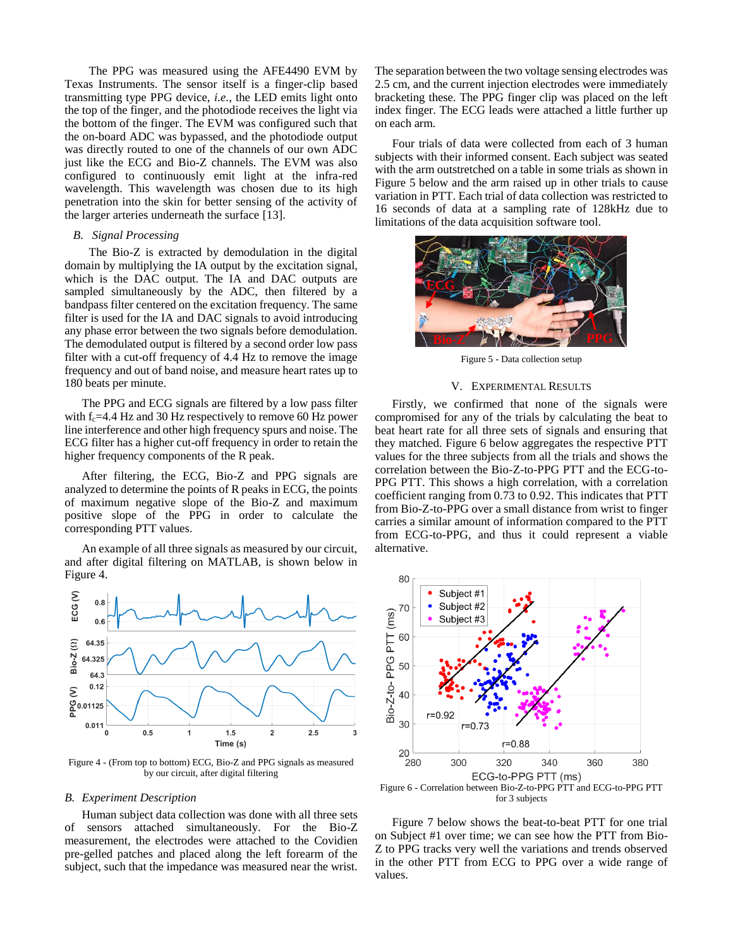The PPG was measured using the AFE4490 EVM by Texas Instruments. The sensor itself is a finger-clip based transmitting type PPG device, *i.e.*, the LED emits light onto the top of the finger, and the photodiode receives the light via the bottom of the finger. The EVM was configured such that the on-board ADC was bypassed, and the photodiode output was directly routed to one of the channels of our own ADC just like the ECG and Bio-Z channels. The EVM was also configured to continuously emit light at the infra-red wavelength. This wavelength was chosen due to its high penetration into the skin for better sensing of the activity of the larger arteries underneath the surface [13].

## *B. Signal Processing*

The Bio-Z is extracted by demodulation in the digital domain by multiplying the IA output by the excitation signal, which is the DAC output. The IA and DAC outputs are sampled simultaneously by the ADC, then filtered by a bandpass filter centered on the excitation frequency. The same filter is used for the IA and DAC signals to avoid introducing any phase error between the two signals before demodulation. The demodulated output is filtered by a second order low pass filter with a cut-off frequency of 4.4 Hz to remove the image frequency and out of band noise, and measure heart rates up to 180 beats per minute.

The PPG and ECG signals are filtered by a low pass filter with  $f_c = 4.4$  Hz and 30 Hz respectively to remove 60 Hz power line interference and other high frequency spurs and noise. The ECG filter has a higher cut-off frequency in order to retain the higher frequency components of the R peak.

After filtering, the ECG, Bio-Z and PPG signals are analyzed to determine the points of R peaks in ECG, the points of maximum negative slope of the Bio-Z and maximum positive slope of the PPG in order to calculate the corresponding PTT values.

An example of all three signals as measured by our circuit, and after digital filtering on MATLAB, is shown below in Figure 4.



Figure 4 - (From top to bottom) ECG, Bio-Z and PPG signals as measured by our circuit, after digital filtering

#### *B. Experiment Description*

Human subject data collection was done with all three sets of sensors attached simultaneously. For the Bio-Z measurement, the electrodes were attached to the Covidien pre-gelled patches and placed along the left forearm of the subject, such that the impedance was measured near the wrist.

The separation between the two voltage sensing electrodes was 2.5 cm, and the current injection electrodes were immediately bracketing these. The PPG finger clip was placed on the left index finger. The ECG leads were attached a little further up on each arm.

Four trials of data were collected from each of 3 human subjects with their informed consent. Each subject was seated with the arm outstretched on a table in some trials as shown in Figure 5 below and the arm raised up in other trials to cause variation in PTT. Each trial of data collection was restricted to 16 seconds of data at a sampling rate of 128kHz due to limitations of the data acquisition software tool.



Figure 5 - Data collection setup

## V. EXPERIMENTAL RESULTS

Firstly, we confirmed that none of the signals were compromised for any of the trials by calculating the beat to beat heart rate for all three sets of signals and ensuring that they matched. Figure 6 below aggregates the respective PTT values for the three subjects from all the trials and shows the correlation between the Bio-Z-to-PPG PTT and the ECG-to-PPG PTT. This shows a high correlation, with a correlation coefficient ranging from 0.73 to 0.92. This indicates that PTT from Bio-Z-to-PPG over a small distance from wrist to finger carries a similar amount of information compared to the PTT from ECG-to-PPG, and thus it could represent a viable alternative.



for 3 subjects

Figure 7 below shows the beat-to-beat PTT for one trial on Subject #1 over time; we can see how the PTT from Bio-Z to PPG tracks very well the variations and trends observed in the other PTT from ECG to PPG over a wide range of values.